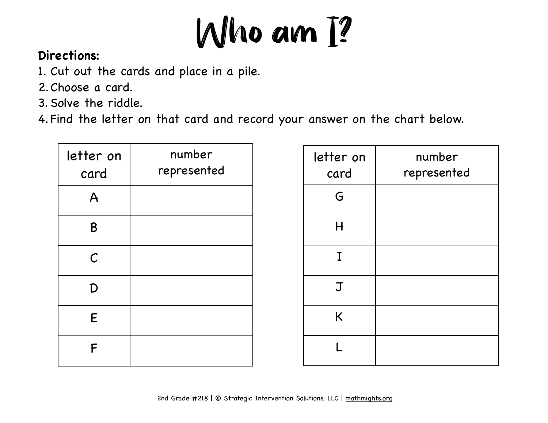

## **Directions:**

- 1. Cut out the cards and place in a pile.
- 2.Choose a card.
- 3. Solve the riddle.
- 4. Find the letter on that card and record your answer on the chart below.

| letter on<br>card | number<br>represented |
|-------------------|-----------------------|
| $\overline{A}$    |                       |
| B                 |                       |
| $\mathcal C$      |                       |
| D                 |                       |
| E                 |                       |
| F                 |                       |

| letter on<br>card | number<br>represented |
|-------------------|-----------------------|
| G                 |                       |
| H                 |                       |
| $\mathbf I$       |                       |
| $\mathbf J$       |                       |
| K                 |                       |
|                   |                       |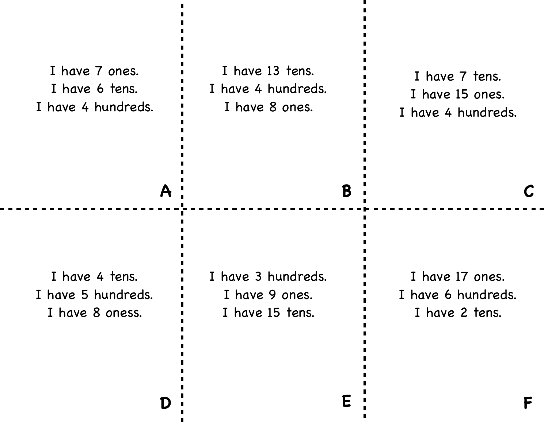